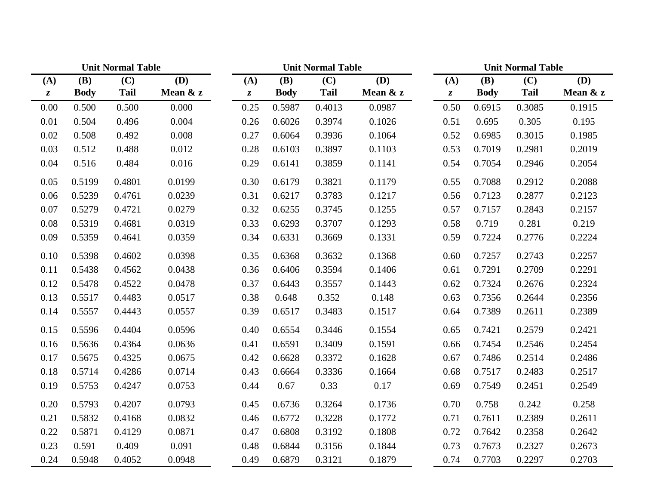|               | <b>Unit Normal Table</b> |                           |                           |         |             | <b>Unit Normal Table</b>  |                           | <b>Unit Normal Table</b> |             |             |                           |  |
|---------------|--------------------------|---------------------------|---------------------------|---------|-------------|---------------------------|---------------------------|--------------------------|-------------|-------------|---------------------------|--|
| (A)           | (B)                      | $\overline{(\mathbf{C})}$ | $\overline{(\mathbf{D})}$ | (A)     | <b>(B)</b>  | $\overline{(\mathbf{C})}$ | $\overline{(\mathbf{D})}$ | (A)                      | (B)         | (C)         | $\overline{(\mathbf{D})}$ |  |
| $\mathcal{Z}$ | <b>Body</b>              | <b>Tail</b>               | Mean & z                  | $\zeta$ | <b>Body</b> | <b>Tail</b>               | Mean & z                  | $\boldsymbol{z}$         | <b>Body</b> | <b>Tail</b> | Mean $&z$                 |  |
| 0.00          | 0.500                    | 0.500                     | 0.000                     | 0.25    | 0.5987      | 0.4013                    | 0.0987                    | 0.50                     | 0.6915      | 0.3085      | 0.1915                    |  |
| 0.01          | 0.504                    | 0.496                     | 0.004                     | 0.26    | 0.6026      | 0.3974                    | 0.1026                    | 0.51                     | 0.695       | 0.305       | 0.195                     |  |
| 0.02          | 0.508                    | 0.492                     | 0.008                     | 0.27    | 0.6064      | 0.3936                    | 0.1064                    | 0.52                     | 0.6985      | 0.3015      | 0.1985                    |  |
| 0.03          | 0.512                    | 0.488                     | 0.012                     | 0.28    | 0.6103      | 0.3897                    | 0.1103                    | 0.53                     | 0.7019      | 0.2981      | 0.2019                    |  |
| 0.04          | 0.516                    | 0.484                     | 0.016                     | 0.29    | 0.6141      | 0.3859                    | 0.1141                    | 0.54                     | 0.7054      | 0.2946      | 0.2054                    |  |
| 0.05          | 0.5199                   | 0.4801                    | 0.0199                    | 0.30    | 0.6179      | 0.3821                    | 0.1179                    | 0.55                     | 0.7088      | 0.2912      | 0.2088                    |  |
| 0.06          | 0.5239                   | 0.4761                    | 0.0239                    | 0.31    | 0.6217      | 0.3783                    | 0.1217                    | 0.56                     | 0.7123      | 0.2877      | 0.2123                    |  |
| 0.07          | 0.5279                   | 0.4721                    | 0.0279                    | 0.32    | 0.6255      | 0.3745                    | 0.1255                    | 0.57                     | 0.7157      | 0.2843      | 0.2157                    |  |
| 0.08          | 0.5319                   | 0.4681                    | 0.0319                    | 0.33    | 0.6293      | 0.3707                    | 0.1293                    | 0.58                     | 0.719       | 0.281       | 0.219                     |  |
| 0.09          | 0.5359                   | 0.4641                    | 0.0359                    | 0.34    | 0.6331      | 0.3669                    | 0.1331                    | 0.59                     | 0.7224      | 0.2776      | 0.2224                    |  |
| 0.10          | 0.5398                   | 0.4602                    | 0.0398                    | 0.35    | 0.6368      | 0.3632                    | 0.1368                    | 0.60                     | 0.7257      | 0.2743      | 0.2257                    |  |
| 0.11          | 0.5438                   | 0.4562                    | 0.0438                    | 0.36    | 0.6406      | 0.3594                    | 0.1406                    | 0.61                     | 0.7291      | 0.2709      | 0.2291                    |  |
| 0.12          | 0.5478                   | 0.4522                    | 0.0478                    | 0.37    | 0.6443      | 0.3557                    | 0.1443                    | 0.62                     | 0.7324      | 0.2676      | 0.2324                    |  |
| 0.13          | 0.5517                   | 0.4483                    | 0.0517                    | 0.38    | 0.648       | 0.352                     | 0.148                     | 0.63                     | 0.7356      | 0.2644      | 0.2356                    |  |
| 0.14          | 0.5557                   | 0.4443                    | 0.0557                    | 0.39    | 0.6517      | 0.3483                    | 0.1517                    | 0.64                     | 0.7389      | 0.2611      | 0.2389                    |  |
| 0.15          | 0.5596                   | 0.4404                    | 0.0596                    | 0.40    | 0.6554      | 0.3446                    | 0.1554                    | 0.65                     | 0.7421      | 0.2579      | 0.2421                    |  |
| 0.16          | 0.5636                   | 0.4364                    | 0.0636                    | 0.41    | 0.6591      | 0.3409                    | 0.1591                    | 0.66                     | 0.7454      | 0.2546      | 0.2454                    |  |
| 0.17          | 0.5675                   | 0.4325                    | 0.0675                    | 0.42    | 0.6628      | 0.3372                    | 0.1628                    | 0.67                     | 0.7486      | 0.2514      | 0.2486                    |  |
| 0.18          | 0.5714                   | 0.4286                    | 0.0714                    | 0.43    | 0.6664      | 0.3336                    | 0.1664                    | 0.68                     | 0.7517      | 0.2483      | 0.2517                    |  |
| 0.19          | 0.5753                   | 0.4247                    | 0.0753                    | 0.44    | 0.67        | 0.33                      | 0.17                      | 0.69                     | 0.7549      | 0.2451      | 0.2549                    |  |
| 0.20          | 0.5793                   | 0.4207                    | 0.0793                    | 0.45    | 0.6736      | 0.3264                    | 0.1736                    | 0.70                     | 0.758       | 0.242       | 0.258                     |  |
| 0.21          | 0.5832                   | 0.4168                    | 0.0832                    | 0.46    | 0.6772      | 0.3228                    | 0.1772                    | 0.71                     | 0.7611      | 0.2389      | 0.2611                    |  |
| 0.22          | 0.5871                   | 0.4129                    | 0.0871                    | 0.47    | 0.6808      | 0.3192                    | 0.1808                    | 0.72                     | 0.7642      | 0.2358      | 0.2642                    |  |
| 0.23          | 0.591                    | 0.409                     | 0.091                     | 0.48    | 0.6844      | 0.3156                    | 0.1844                    | 0.73                     | 0.7673      | 0.2327      | 0.2673                    |  |
| 0.24          | 0.5948                   | 0.4052                    | 0.0948                    | 0.49    | 0.6879      | 0.3121                    | 0.1879                    | 0.74                     | 0.7703      | 0.2297      | 0.2703                    |  |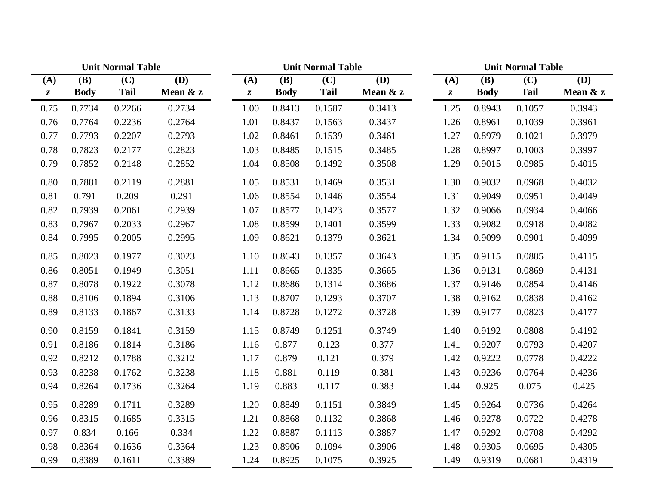|                  |             | <b>Unit Normal Table</b> |          |                  | <b>Unit Normal Table</b> |             |            |                  |             | <b>Unit Normal Table</b> |            |  |
|------------------|-------------|--------------------------|----------|------------------|--------------------------|-------------|------------|------------------|-------------|--------------------------|------------|--|
| (A)              | <b>(B)</b>  | (C)                      | (D)      | (A)              | <b>(B)</b>               | (C)         | <b>(D)</b> | (A)              | <b>(B)</b>  | (C)                      | <b>(D)</b> |  |
| $\boldsymbol{z}$ | <b>Body</b> | <b>Tail</b>              | Mean & z | $\boldsymbol{z}$ | <b>Body</b>              | <b>Tail</b> | Mean $&z$  | $\boldsymbol{z}$ | <b>Body</b> | <b>Tail</b>              | Mean & z   |  |
| 0.75             | 0.7734      | 0.2266                   | 0.2734   | 1.00             | 0.8413                   | 0.1587      | 0.3413     | 1.25             | 0.8943      | 0.1057                   | 0.3943     |  |
| 0.76             | 0.7764      | 0.2236                   | 0.2764   | 1.01             | 0.8437                   | 0.1563      | 0.3437     | 1.26             | 0.8961      | 0.1039                   | 0.3961     |  |
| 0.77             | 0.7793      | 0.2207                   | 0.2793   | 1.02             | 0.8461                   | 0.1539      | 0.3461     | 1.27             | 0.8979      | 0.1021                   | 0.3979     |  |
| 0.78             | 0.7823      | 0.2177                   | 0.2823   | 1.03             | 0.8485                   | 0.1515      | 0.3485     | 1.28             | 0.8997      | 0.1003                   | 0.3997     |  |
| 0.79             | 0.7852      | 0.2148                   | 0.2852   | 1.04             | 0.8508                   | 0.1492      | 0.3508     | 1.29             | 0.9015      | 0.0985                   | 0.4015     |  |
| 0.80             | 0.7881      | 0.2119                   | 0.2881   | 1.05             | 0.8531                   | 0.1469      | 0.3531     | 1.30             | 0.9032      | 0.0968                   | 0.4032     |  |
| 0.81             | 0.791       | 0.209                    | 0.291    | 1.06             | 0.8554                   | 0.1446      | 0.3554     | 1.31             | 0.9049      | 0.0951                   | 0.4049     |  |
| 0.82             | 0.7939      | 0.2061                   | 0.2939   | 1.07             | 0.8577                   | 0.1423      | 0.3577     | 1.32             | 0.9066      | 0.0934                   | 0.4066     |  |
| 0.83             | 0.7967      | 0.2033                   | 0.2967   | 1.08             | 0.8599                   | 0.1401      | 0.3599     | 1.33             | 0.9082      | 0.0918                   | 0.4082     |  |
| 0.84             | 0.7995      | 0.2005                   | 0.2995   | 1.09             | 0.8621                   | 0.1379      | 0.3621     | 1.34             | 0.9099      | 0.0901                   | 0.4099     |  |
| 0.85             | 0.8023      | 0.1977                   | 0.3023   | 1.10             | 0.8643                   | 0.1357      | 0.3643     | 1.35             | 0.9115      | 0.0885                   | 0.4115     |  |
| 0.86             | 0.8051      | 0.1949                   | 0.3051   | 1.11             | 0.8665                   | 0.1335      | 0.3665     | 1.36             | 0.9131      | 0.0869                   | 0.4131     |  |
| 0.87             | 0.8078      | 0.1922                   | 0.3078   | 1.12             | 0.8686                   | 0.1314      | 0.3686     | 1.37             | 0.9146      | 0.0854                   | 0.4146     |  |
| 0.88             | 0.8106      | 0.1894                   | 0.3106   | 1.13             | 0.8707                   | 0.1293      | 0.3707     | 1.38             | 0.9162      | 0.0838                   | 0.4162     |  |
| 0.89             | 0.8133      | 0.1867                   | 0.3133   | 1.14             | 0.8728                   | 0.1272      | 0.3728     | 1.39             | 0.9177      | 0.0823                   | 0.4177     |  |
| 0.90             | 0.8159      | 0.1841                   | 0.3159   | 1.15             | 0.8749                   | 0.1251      | 0.3749     | 1.40             | 0.9192      | 0.0808                   | 0.4192     |  |
| 0.91             | 0.8186      | 0.1814                   | 0.3186   | 1.16             | 0.877                    | 0.123       | 0.377      | 1.41             | 0.9207      | 0.0793                   | 0.4207     |  |
| 0.92             | 0.8212      | 0.1788                   | 0.3212   | 1.17             | 0.879                    | 0.121       | 0.379      | 1.42             | 0.9222      | 0.0778                   | 0.4222     |  |
| 0.93             | 0.8238      | 0.1762                   | 0.3238   | 1.18             | 0.881                    | 0.119       | 0.381      | 1.43             | 0.9236      | 0.0764                   | 0.4236     |  |
| 0.94             | 0.8264      | 0.1736                   | 0.3264   | 1.19             | 0.883                    | 0.117       | 0.383      | 1.44             | 0.925       | 0.075                    | 0.425      |  |
| 0.95             | 0.8289      | 0.1711                   | 0.3289   | 1.20             | 0.8849                   | 0.1151      | 0.3849     | 1.45             | 0.9264      | 0.0736                   | 0.4264     |  |
| 0.96             | 0.8315      | 0.1685                   | 0.3315   | 1.21             | 0.8868                   | 0.1132      | 0.3868     | 1.46             | 0.9278      | 0.0722                   | 0.4278     |  |
| 0.97             | 0.834       | 0.166                    | 0.334    | 1.22             | 0.8887                   | 0.1113      | 0.3887     | 1.47             | 0.9292      | 0.0708                   | 0.4292     |  |
| 0.98             | 0.8364      | 0.1636                   | 0.3364   | 1.23             | 0.8906                   | 0.1094      | 0.3906     | 1.48             | 0.9305      | 0.0695                   | 0.4305     |  |
| 0.99             | 0.8389      | 0.1611                   | 0.3389   | 1.24             | 0.8925                   | 0.1075      | 0.3925     | 1.49             | 0.9319      | 0.0681                   | 0.4319     |  |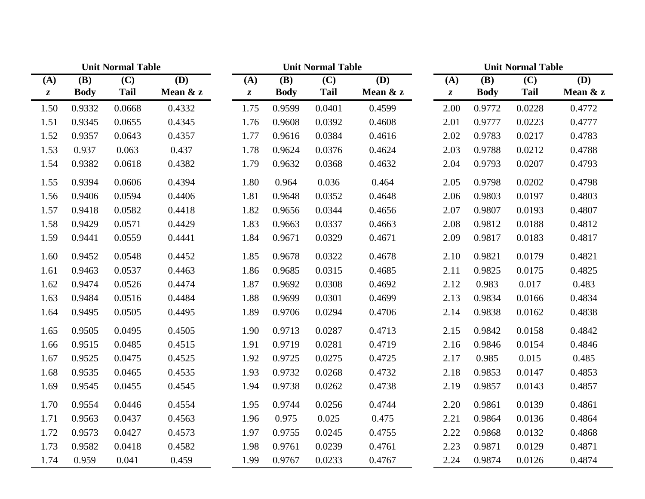|                  |             | <b>Unit Normal Table</b> |          |                  |             | <b>Unit Normal Table</b> |          | <b>Unit Normal Table</b> |             |             |          |
|------------------|-------------|--------------------------|----------|------------------|-------------|--------------------------|----------|--------------------------|-------------|-------------|----------|
| (A)              | <b>(B)</b>  | (C)                      | (D)      | (A)              | <b>(B)</b>  | (C)                      | (D)      | (A)                      | <b>(B)</b>  | (C)         | (D)      |
| $\boldsymbol{z}$ | <b>Body</b> | <b>Tail</b>              | Mean & z | $\boldsymbol{z}$ | <b>Body</b> | <b>Tail</b>              | Mean & z | $\boldsymbol{z}$         | <b>Body</b> | <b>Tail</b> | Mean & z |
| 1.50             | 0.9332      | 0.0668                   | 0.4332   | 1.75             | 0.9599      | 0.0401                   | 0.4599   | 2.00                     | 0.9772      | 0.0228      | 0.4772   |
| 1.51             | 0.9345      | 0.0655                   | 0.4345   | 1.76             | 0.9608      | 0.0392                   | 0.4608   | 2.01                     | 0.9777      | 0.0223      | 0.4777   |
| 1.52             | 0.9357      | 0.0643                   | 0.4357   | 1.77             | 0.9616      | 0.0384                   | 0.4616   | 2.02                     | 0.9783      | 0.0217      | 0.4783   |
| 1.53             | 0.937       | 0.063                    | 0.437    | 1.78             | 0.9624      | 0.0376                   | 0.4624   | 2.03                     | 0.9788      | 0.0212      | 0.4788   |
| 1.54             | 0.9382      | 0.0618                   | 0.4382   | 1.79             | 0.9632      | 0.0368                   | 0.4632   | 2.04                     | 0.9793      | 0.0207      | 0.4793   |
| 1.55             | 0.9394      | 0.0606                   | 0.4394   | 1.80             | 0.964       | 0.036                    | 0.464    | 2.05                     | 0.9798      | 0.0202      | 0.4798   |
| 1.56             | 0.9406      | 0.0594                   | 0.4406   | 1.81             | 0.9648      | 0.0352                   | 0.4648   | 2.06                     | 0.9803      | 0.0197      | 0.4803   |
| 1.57             | 0.9418      | 0.0582                   | 0.4418   | 1.82             | 0.9656      | 0.0344                   | 0.4656   | 2.07                     | 0.9807      | 0.0193      | 0.4807   |
| 1.58             | 0.9429      | 0.0571                   | 0.4429   | 1.83             | 0.9663      | 0.0337                   | 0.4663   | 2.08                     | 0.9812      | 0.0188      | 0.4812   |
| 1.59             | 0.9441      | 0.0559                   | 0.4441   | 1.84             | 0.9671      | 0.0329                   | 0.4671   | 2.09                     | 0.9817      | 0.0183      | 0.4817   |
| 1.60             | 0.9452      | 0.0548                   | 0.4452   | 1.85             | 0.9678      | 0.0322                   | 0.4678   | 2.10                     | 0.9821      | 0.0179      | 0.4821   |
| 1.61             | 0.9463      | 0.0537                   | 0.4463   | 1.86             | 0.9685      | 0.0315                   | 0.4685   | 2.11                     | 0.9825      | 0.0175      | 0.4825   |
| 1.62             | 0.9474      | 0.0526                   | 0.4474   | 1.87             | 0.9692      | 0.0308                   | 0.4692   | 2.12                     | 0.983       | 0.017       | 0.483    |
| 1.63             | 0.9484      | 0.0516                   | 0.4484   | 1.88             | 0.9699      | 0.0301                   | 0.4699   | 2.13                     | 0.9834      | 0.0166      | 0.4834   |
| 1.64             | 0.9495      | 0.0505                   | 0.4495   | 1.89             | 0.9706      | 0.0294                   | 0.4706   | 2.14                     | 0.9838      | 0.0162      | 0.4838   |
| 1.65             | 0.9505      | 0.0495                   | 0.4505   | 1.90             | 0.9713      | 0.0287                   | 0.4713   | 2.15                     | 0.9842      | 0.0158      | 0.4842   |
| 1.66             | 0.9515      | 0.0485                   | 0.4515   | 1.91             | 0.9719      | 0.0281                   | 0.4719   | 2.16                     | 0.9846      | 0.0154      | 0.4846   |
| 1.67             | 0.9525      | 0.0475                   | 0.4525   | 1.92             | 0.9725      | 0.0275                   | 0.4725   | 2.17                     | 0.985       | 0.015       | 0.485    |
| 1.68             | 0.9535      | 0.0465                   | 0.4535   | 1.93             | 0.9732      | 0.0268                   | 0.4732   | 2.18                     | 0.9853      | 0.0147      | 0.4853   |
| 1.69             | 0.9545      | 0.0455                   | 0.4545   | 1.94             | 0.9738      | 0.0262                   | 0.4738   | 2.19                     | 0.9857      | 0.0143      | 0.4857   |
| 1.70             | 0.9554      | 0.0446                   | 0.4554   | 1.95             | 0.9744      | 0.0256                   | 0.4744   | 2.20                     | 0.9861      | 0.0139      | 0.4861   |
| 1.71             | 0.9563      | 0.0437                   | 0.4563   | 1.96             | 0.975       | 0.025                    | 0.475    | 2.21                     | 0.9864      | 0.0136      | 0.4864   |
| 1.72             | 0.9573      | 0.0427                   | 0.4573   | 1.97             | 0.9755      | 0.0245                   | 0.4755   | 2.22                     | 0.9868      | 0.0132      | 0.4868   |
| 1.73             | 0.9582      | 0.0418                   | 0.4582   | 1.98             | 0.9761      | 0.0239                   | 0.4761   | 2.23                     | 0.9871      | 0.0129      | 0.4871   |
| 1.74             | 0.959       | 0.041                    | 0.459    | 1.99             | 0.9767      | 0.0233                   | 0.4767   | 2.24                     | 0.9874      | 0.0126      | 0.4874   |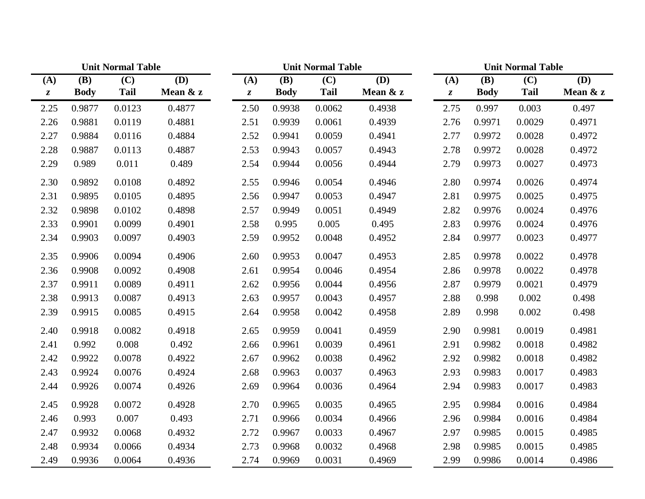|                  |             | <b>Unit Normal Table</b> |          |                  | <b>Unit Normal Table</b> |             |          |                  | <b>Unit Normal Table</b> |             |          |  |
|------------------|-------------|--------------------------|----------|------------------|--------------------------|-------------|----------|------------------|--------------------------|-------------|----------|--|
| (A)              | <b>(B)</b>  | (C)                      | (D)      | (A)              | (B)                      | (C)         | (D)      | (A)              | <b>(B)</b>               | (C)         | (D)      |  |
| $\boldsymbol{z}$ | <b>Body</b> | <b>Tail</b>              | Mean & z | $\boldsymbol{z}$ | <b>Body</b>              | <b>Tail</b> | Mean & z | $\boldsymbol{z}$ | <b>Body</b>              | <b>Tail</b> | Mean & z |  |
| 2.25             | 0.9877      | 0.0123                   | 0.4877   | 2.50             | 0.9938                   | 0.0062      | 0.4938   | 2.75             | 0.997                    | 0.003       | 0.497    |  |
| 2.26             | 0.9881      | 0.0119                   | 0.4881   | 2.51             | 0.9939                   | 0.0061      | 0.4939   | 2.76             | 0.9971                   | 0.0029      | 0.4971   |  |
| 2.27             | 0.9884      | 0.0116                   | 0.4884   | 2.52             | 0.9941                   | 0.0059      | 0.4941   | 2.77             | 0.9972                   | 0.0028      | 0.4972   |  |
| 2.28             | 0.9887      | 0.0113                   | 0.4887   | 2.53             | 0.9943                   | 0.0057      | 0.4943   | 2.78             | 0.9972                   | 0.0028      | 0.4972   |  |
| 2.29             | 0.989       | 0.011                    | 0.489    | 2.54             | 0.9944                   | 0.0056      | 0.4944   | 2.79             | 0.9973                   | 0.0027      | 0.4973   |  |
| 2.30             | 0.9892      | 0.0108                   | 0.4892   | 2.55             | 0.9946                   | 0.0054      | 0.4946   | 2.80             | 0.9974                   | 0.0026      | 0.4974   |  |
| 2.31             | 0.9895      | 0.0105                   | 0.4895   | 2.56             | 0.9947                   | 0.0053      | 0.4947   | 2.81             | 0.9975                   | 0.0025      | 0.4975   |  |
| 2.32             | 0.9898      | 0.0102                   | 0.4898   | 2.57             | 0.9949                   | 0.0051      | 0.4949   | 2.82             | 0.9976                   | 0.0024      | 0.4976   |  |
| 2.33             | 0.9901      | 0.0099                   | 0.4901   | 2.58             | 0.995                    | 0.005       | 0.495    | 2.83             | 0.9976                   | 0.0024      | 0.4976   |  |
| 2.34             | 0.9903      | 0.0097                   | 0.4903   | 2.59             | 0.9952                   | 0.0048      | 0.4952   | 2.84             | 0.9977                   | 0.0023      | 0.4977   |  |
| 2.35             | 0.9906      | 0.0094                   | 0.4906   | 2.60             | 0.9953                   | 0.0047      | 0.4953   | 2.85             | 0.9978                   | 0.0022      | 0.4978   |  |
| 2.36             | 0.9908      | 0.0092                   | 0.4908   | 2.61             | 0.9954                   | 0.0046      | 0.4954   | 2.86             | 0.9978                   | 0.0022      | 0.4978   |  |
| 2.37             | 0.9911      | 0.0089                   | 0.4911   | 2.62             | 0.9956                   | 0.0044      | 0.4956   | 2.87             | 0.9979                   | 0.0021      | 0.4979   |  |
| 2.38             | 0.9913      | 0.0087                   | 0.4913   | 2.63             | 0.9957                   | 0.0043      | 0.4957   | 2.88             | 0.998                    | 0.002       | 0.498    |  |
| 2.39             | 0.9915      | 0.0085                   | 0.4915   | 2.64             | 0.9958                   | 0.0042      | 0.4958   | 2.89             | 0.998                    | 0.002       | 0.498    |  |
| 2.40             | 0.9918      | 0.0082                   | 0.4918   | 2.65             | 0.9959                   | 0.0041      | 0.4959   | 2.90             | 0.9981                   | 0.0019      | 0.4981   |  |
| 2.41             | 0.992       | 0.008                    | 0.492    | 2.66             | 0.9961                   | 0.0039      | 0.4961   | 2.91             | 0.9982                   | 0.0018      | 0.4982   |  |
| 2.42             | 0.9922      | 0.0078                   | 0.4922   | 2.67             | 0.9962                   | 0.0038      | 0.4962   | 2.92             | 0.9982                   | 0.0018      | 0.4982   |  |
| 2.43             | 0.9924      | 0.0076                   | 0.4924   | 2.68             | 0.9963                   | 0.0037      | 0.4963   | 2.93             | 0.9983                   | 0.0017      | 0.4983   |  |
| 2.44             | 0.9926      | 0.0074                   | 0.4926   | 2.69             | 0.9964                   | 0.0036      | 0.4964   | 2.94             | 0.9983                   | 0.0017      | 0.4983   |  |
| 2.45             | 0.9928      | 0.0072                   | 0.4928   | 2.70             | 0.9965                   | 0.0035      | 0.4965   | 2.95             | 0.9984                   | 0.0016      | 0.4984   |  |
| 2.46             | 0.993       | 0.007                    | 0.493    | 2.71             | 0.9966                   | 0.0034      | 0.4966   | 2.96             | 0.9984                   | 0.0016      | 0.4984   |  |
| 2.47             | 0.9932      | 0.0068                   | 0.4932   | 2.72             | 0.9967                   | 0.0033      | 0.4967   | 2.97             | 0.9985                   | 0.0015      | 0.4985   |  |
| 2.48             | 0.9934      | 0.0066                   | 0.4934   | 2.73             | 0.9968                   | 0.0032      | 0.4968   | 2.98             | 0.9985                   | 0.0015      | 0.4985   |  |
| 2.49             | 0.9936      | 0.0064                   | 0.4936   | 2.74             | 0.9969                   | 0.0031      | 0.4969   | 2.99             | 0.9986                   | 0.0014      | 0.4986   |  |